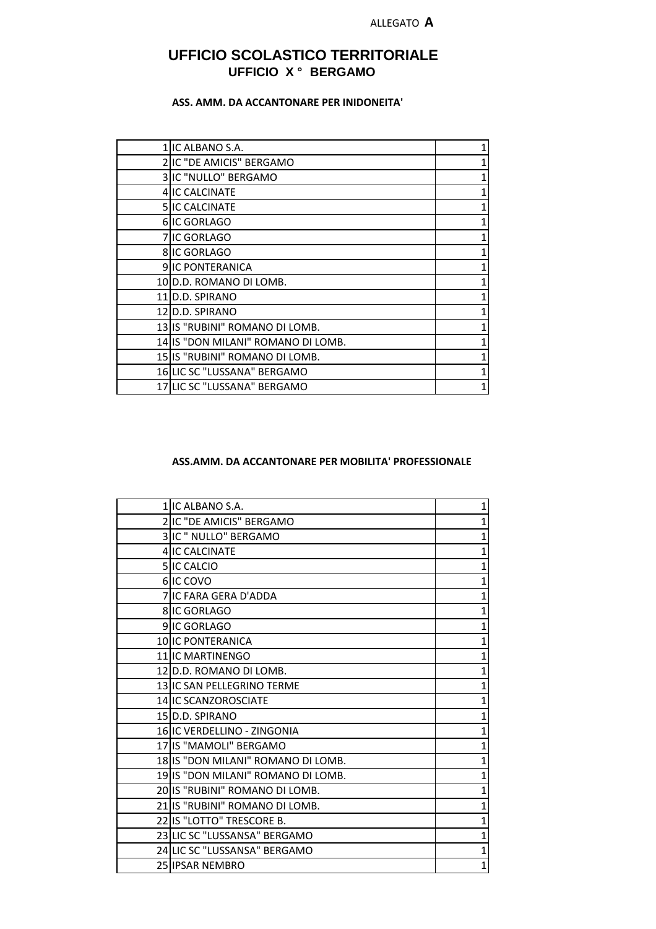# **UFFICIO SCOLASTICO TERRITORIALE UFFICIO X ° BERGAMO**

## **ASS. AMM. DA ACCANTONARE PER INIDONEITA'**

| 1 IIC ALBANO S.A.                  |   |
|------------------------------------|---|
| 2 IIC "DE AMICIS" BERGAMO          | 1 |
| 3 IC "NULLO" BERGAMO               |   |
| 4 IC CALCINATE                     | 1 |
| <b>5 IIC CALCINATE</b>             | 1 |
| 6 IC GORLAGO                       |   |
| 7lIC GORLAGO                       |   |
| <b>8IIC GORLAGO</b>                | 1 |
| <b>9IIC PONTERANICA</b>            | 1 |
| 10 D.D. ROMANO DI LOMB.            |   |
| 11 D.D. SPIRANO                    | 1 |
| 12 D.D. SPIRANO                    |   |
| 13 IS "RUBINI" ROMANO DI LOMB.     |   |
| 14 IS "DON MILANI" ROMANO DI LOMB. | 1 |
| 15 IS "RUBINI" ROMANO DI LOMB.     |   |
| 16 LIC SC "LUSSANA" BERGAMO        |   |
| 17 LIC SC "LUSSANA" BERGAMO        | 1 |

#### **ASS.AMM. DA ACCANTONARE PER MOBILITA' PROFESSIONALE**

| 1 IC ALBANO S.A.                   | 1              |
|------------------------------------|----------------|
| 2IIC "DE AMICIS" BERGAMO           | 1              |
| 3 IC " NULLO" BERGAMO              | $\mathbf 1$    |
| 4 IC CALCINATE                     | $\mathbf 1$    |
| 5 IC CALCIO                        | $\mathbf{1}$   |
| 6 IC COVO                          | $\overline{1}$ |
| 7 IIC FARA GERA D'ADDA             | 1              |
| 8 IC GORLAGO                       | $\mathbf 1$    |
| 9 IC GORLAGO                       | $\mathbf{1}$   |
| 10 IC PONTERANICA                  | $\mathbf{1}$   |
| 11 IC MARTINENGO                   | $\overline{1}$ |
| 12 D.D. ROMANO DI LOMB.            | $\mathbf{1}$   |
| 13 IC SAN PELLEGRINO TERME         | $\mathbf{1}$   |
| 14 IC SCANZOROSCIATE               | $\overline{1}$ |
| 15 D.D. SPIRANO                    | $\overline{1}$ |
| 16 IC VERDELLINO - ZINGONIA        | $\overline{1}$ |
| 17 IS "MAMOLI" BERGAMO             | $\mathbf{1}$   |
| 18 IS "DON MILANI" ROMANO DI LOMB. | $\mathbf{1}$   |
| 19 IS "DON MILANI" ROMANO DI LOMB. | $\overline{1}$ |
| 20 IS "RUBINI" ROMANO DI LOMB.     | 1              |
| 21 IS "RUBINI" ROMANO DI LOMB.     | $\mathbf{1}$   |
| 22 IS "LOTTO" TRESCORE B.          | $\overline{1}$ |
| 23 LIC SC "LUSSANSA" BERGAMO       | 1              |
| 24 LIC SC "LUSSANSA" BERGAMO       | $\mathbf{1}$   |
| 25 IPSAR NEMBRO                    | $\mathbf 1$    |